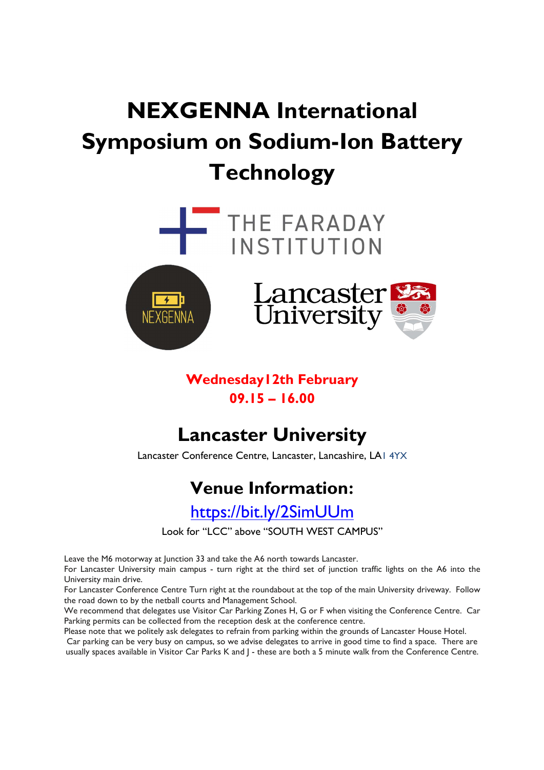# NEXGENNA International Symposium on Sodium-Ion Battery **Technology**



### Wednesday12th February 09.15 – 16.00

## Lancaster University

Lancaster Conference Centre, Lancaster, Lancashire, LA1 4YX

## Venue Information:

https://bit.ly/2SimUUm

Look for "LCC" above "SOUTH WEST CAMPUS"

Leave the M6 motorway at Junction 33 and take the A6 north towards Lancaster.

For Lancaster University main campus - turn right at the third set of junction traffic lights on the A6 into the University main drive.

For Lancaster Conference Centre Turn right at the roundabout at the top of the main University driveway. Follow the road down to by the netball courts and Management School.

We recommend that delegates use Visitor Car Parking Zones H, G or F when visiting the Conference Centre. Car Parking permits can be collected from the reception desk at the conference centre.

Please note that we politely ask delegates to refrain from parking within the grounds of Lancaster House Hotel.

Car parking can be very busy on campus, so we advise delegates to arrive in good time to find a space. There are usually spaces available in Visitor Car Parks K and J - these are both a 5 minute walk from the Conference Centre.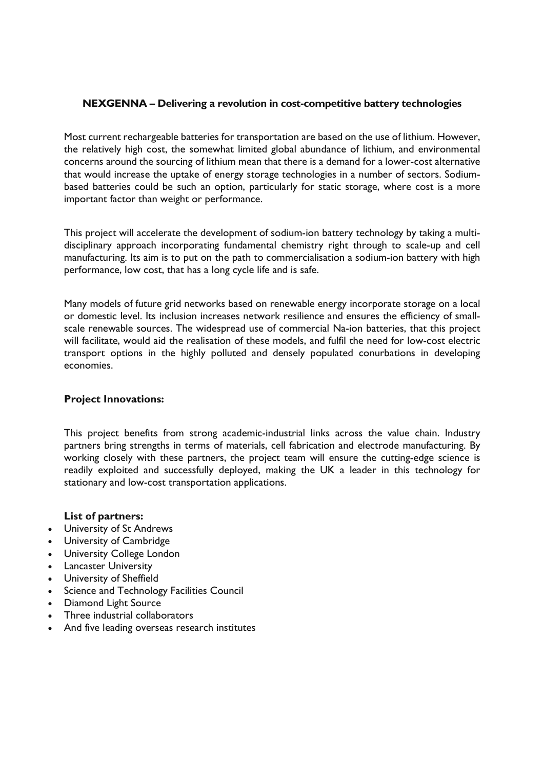#### NEXGENNA – Delivering a revolution in cost-competitive battery technologies

Most current rechargeable batteries for transportation are based on the use of lithium. However, the relatively high cost, the somewhat limited global abundance of lithium, and environmental concerns around the sourcing of lithium mean that there is a demand for a lower-cost alternative that would increase the uptake of energy storage technologies in a number of sectors. Sodiumbased batteries could be such an option, particularly for static storage, where cost is a more important factor than weight or performance.

This project will accelerate the development of sodium-ion battery technology by taking a multidisciplinary approach incorporating fundamental chemistry right through to scale-up and cell manufacturing. Its aim is to put on the path to commercialisation a sodium-ion battery with high performance, low cost, that has a long cycle life and is safe.

Many models of future grid networks based on renewable energy incorporate storage on a local or domestic level. Its inclusion increases network resilience and ensures the efficiency of smallscale renewable sources. The widespread use of commercial Na-ion batteries, that this project will facilitate, would aid the realisation of these models, and fulfil the need for low-cost electric transport options in the highly polluted and densely populated conurbations in developing economies.

#### Project Innovations:

This project benefits from strong academic-industrial links across the value chain. Industry partners bring strengths in terms of materials, cell fabrication and electrode manufacturing. By working closely with these partners, the project team will ensure the cutting-edge science is readily exploited and successfully deployed, making the UK a leader in this technology for stationary and low-cost transportation applications.

#### List of partners:

- University of St Andrews
- University of Cambridge
- University College London
- **•** Lancaster University
- University of Sheffield
- Science and Technology Facilities Council
- Diamond Light Source
- Three industrial collaborators
- And five leading overseas research institutes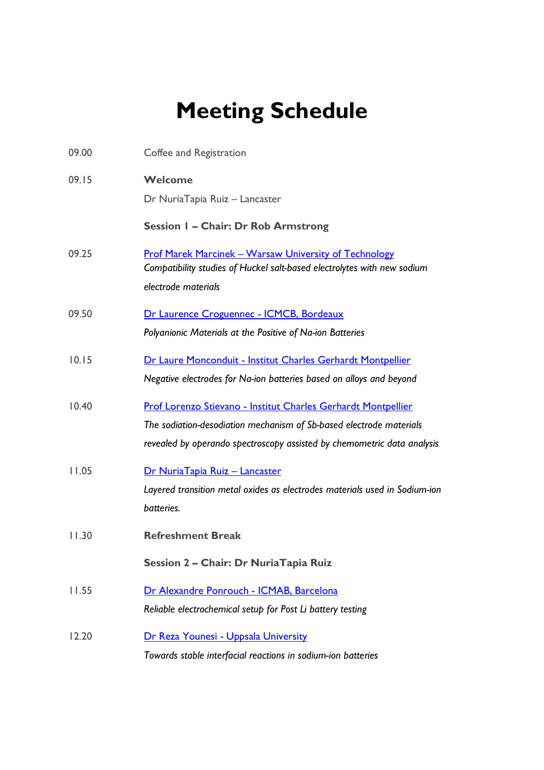## Meeting Schedule

| 09.00 | Coffee and Registration                                                                                                                                                                                         |
|-------|-----------------------------------------------------------------------------------------------------------------------------------------------------------------------------------------------------------------|
| 09.15 | Welcome<br>Dr NuriaTapia Ruiz - Lancaster                                                                                                                                                                       |
|       | Session I - Chair: Dr Rob Armstrong                                                                                                                                                                             |
| 09.25 | <b>Prof Marek Marcinek - Warsaw University of Technology</b><br>Compatibility studies of Huckel salt-based electrolytes with new sodium<br>electrode materials                                                  |
| 09.50 | Dr Laurence Croguennec - ICMCB, Bordeaux                                                                                                                                                                        |
|       | Polyanionic Materials at the Positive of Na-ion Batteries                                                                                                                                                       |
| 10.15 | Dr Laure Monconduit - Institut Charles Gerhardt Montpellier<br>Negative electrodes for Na-ion batteries based on alloys and beyond                                                                              |
| 10.40 | Prof Lorenzo Stievano - Institut Charles Gerhardt Montpellier<br>The sodiation-desodiation mechanism of Sb-based electrode materials<br>revealed by operando spectroscopy assisted by chemometric data analysis |
| 11.05 | Dr NuriaTapia Ruiz - Lancaster<br>Layered transition metal oxides as electrodes materials used in Sodium-ion<br>batteries.                                                                                      |
| 11.30 | <b>Refreshment Break</b>                                                                                                                                                                                        |
|       | Session 2 - Chair: Dr NuriaTapia Ruiz                                                                                                                                                                           |
| 11.55 | Dr Alexandre Ponrouch - ICMAB, Barcelona<br>Reliable electrochemical setup for Post Li battery testing                                                                                                          |
| 12.20 | Dr Reza Younesi - Uppsala University<br>Towards stable interfacial reactions in sodium-ion batteries                                                                                                            |